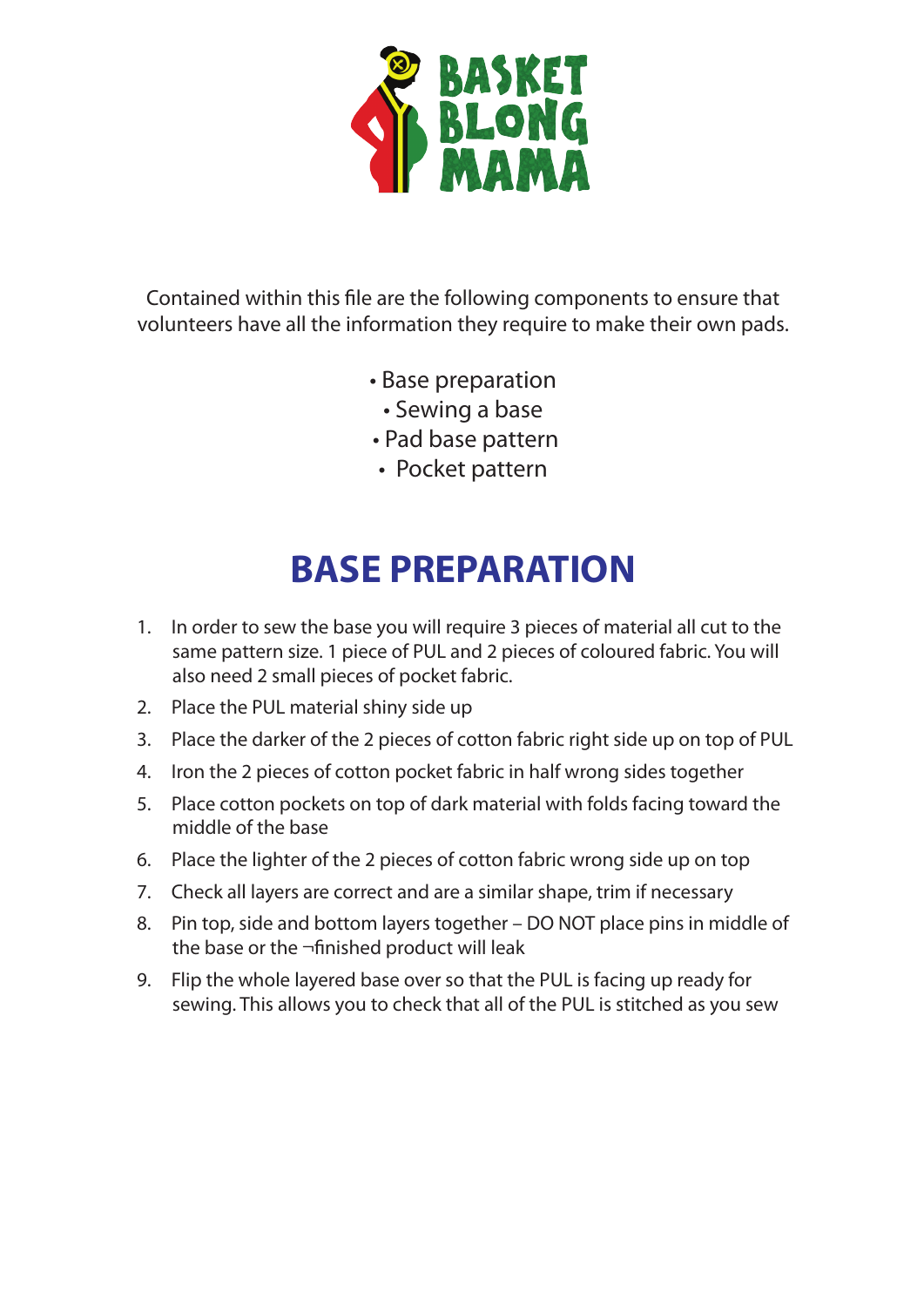

Contained within this file are the following components to ensure that volunteers have all the information they require to make their own pads.

- Base preparation
	- Sewing a base
- Pad base pattern
- Pocket pattern

## **BASE PREPARATION**

- 1. In order to sew the base you will require 3 pieces of material all cut to the same pattern size. 1 piece of PUL and 2 pieces of coloured fabric. You will also need 2 small pieces of pocket fabric.
- 2. Place the PUL material shiny side up
- 3. Place the darker of the 2 pieces of cotton fabric right side up on top of PUL
- 4. Iron the 2 pieces of cotton pocket fabric in half wrong sides together
- 5. Place cotton pockets on top of dark material with folds facing toward the middle of the base
- 6. Place the lighter of the 2 pieces of cotton fabric wrong side up on top
- 7. Check all layers are correct and are a similar shape, trim if necessary
- 8. Pin top, side and bottom layers together DO NOT place pins in middle of the base or the  $\neg$ finished product will leak
- 9. Flip the whole layered base over so that the PUL is facing up ready for sewing. This allows you to check that all of the PUL is stitched as you sew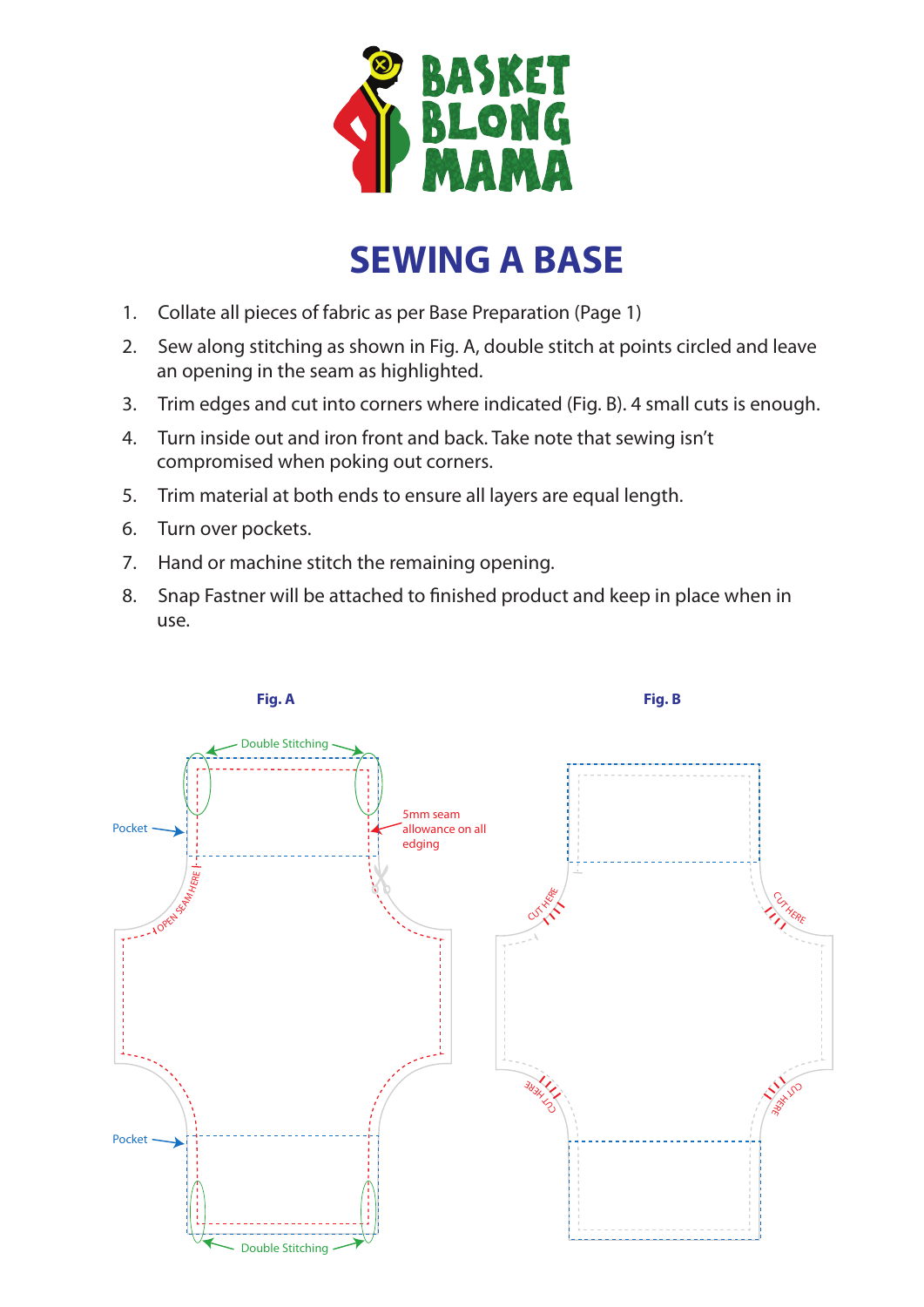

## **SEWING A BASE**

- 1. Collate all pieces of fabric as per Base Preparation (Page 1)
- 2. Sew along stitching as shown in Fig. A, double stitch at points circled and leave an opening in the seam as highlighted.
- 3. Trim edges and cut into corners where indicated (Fig. B). 4 small cuts is enough.
- 4. Turn inside out and iron front and back. Take note that sewing isn't compromised when poking out corners.
- 5. Trim material at both ends to ensure all layers are equal length.
- 6. Turn over pockets.
- 7. Hand or machine stitch the remaining opening.
- 8. Snap Fastner will be attached to finished product and keep in place when in use.

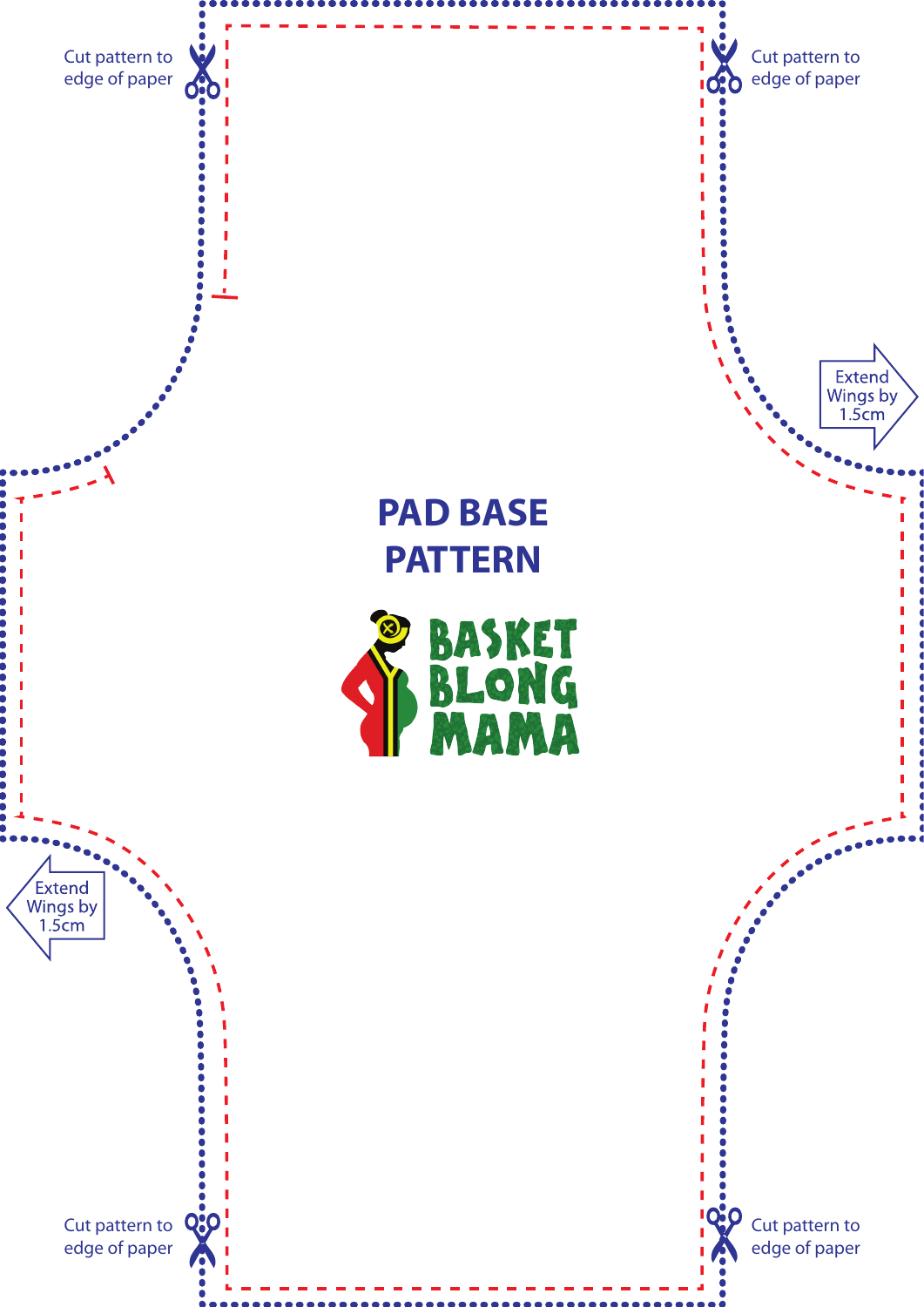